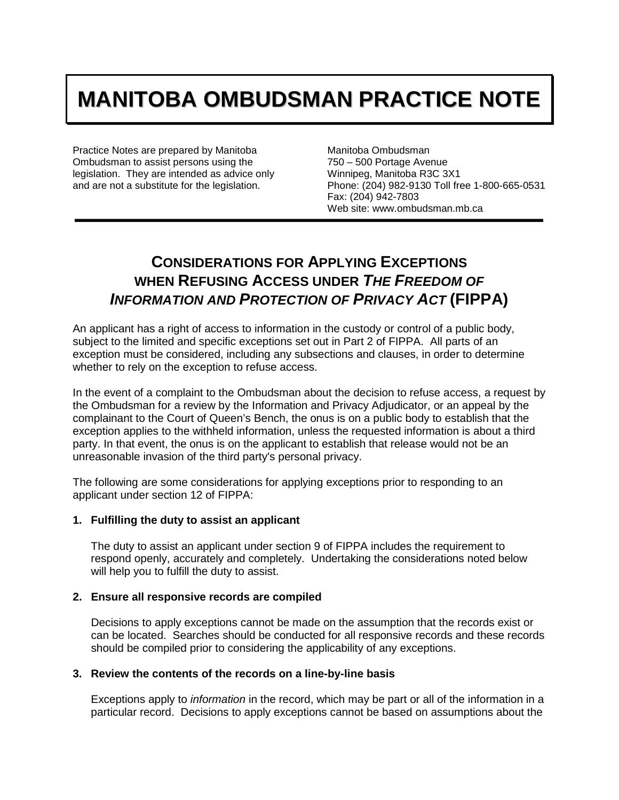# **MANITOBA OMBUDSMAN PRACTICE NOTE**

Practice Notes are prepared by Manitoba Ombudsman to assist persons using the legislation. They are intended as advice only and are not a substitute for the legislation.

Manitoba Ombudsman 750 – 500 Portage Avenue Winnipeg, Manitoba R3C 3X1 Phone: (204) 982-9130 Toll free 1-800-665-0531 Fax: (204) 942-7803 Web site: www.ombudsman.mb.ca

# **CONSIDERATIONS FOR APPLYING EXCEPTIONS WHEN REFUSING ACCESS UNDER** *THE FREEDOM OF INFORMATION AND PROTECTION OF PRIVACY ACT* **(FIPPA)**

An applicant has a right of access to information in the custody or control of a public body, subject to the limited and specific exceptions set out in Part 2 of FIPPA. All parts of an exception must be considered, including any subsections and clauses, in order to determine whether to rely on the exception to refuse access.

In the event of a complaint to the Ombudsman about the decision to refuse access, a request by the Ombudsman for a review by the Information and Privacy Adjudicator, or an appeal by the complainant to the Court of Queen's Bench, the onus is on a public body to establish that the exception applies to the withheld information, unless the requested information is about a third party. In that event, the onus is on the applicant to establish that release would not be an unreasonable invasion of the third party's personal privacy.

The following are some considerations for applying exceptions prior to responding to an applicant under section 12 of FIPPA:

# **1. Fulfilling the duty to assist an applicant**

The duty to assist an applicant under section 9 of FIPPA includes the requirement to respond openly, accurately and completely. Undertaking the considerations noted below will help you to fulfill the duty to assist.

# **2. Ensure all responsive records are compiled**

Decisions to apply exceptions cannot be made on the assumption that the records exist or can be located. Searches should be conducted for all responsive records and these records should be compiled prior to considering the applicability of any exceptions.

# **3. Review the contents of the records on a line-by-line basis**

Exceptions apply to *information* in the record, which may be part or all of the information in a particular record. Decisions to apply exceptions cannot be based on assumptions about the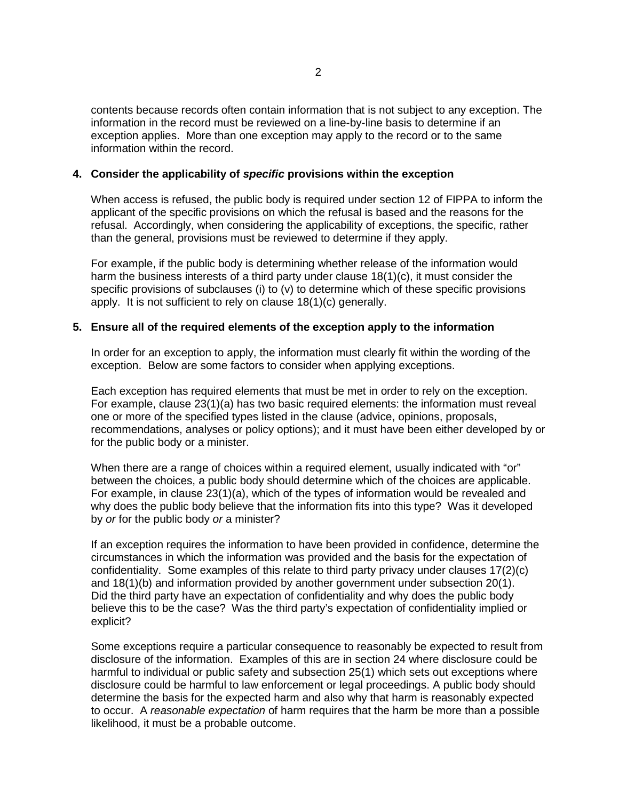contents because records often contain information that is not subject to any exception. The information in the record must be reviewed on a line-by-line basis to determine if an exception applies. More than one exception may apply to the record or to the same information within the record.

#### **4. Consider the applicability of** *specific* **provisions within the exception**

When access is refused, the public body is required under section 12 of FIPPA to inform the applicant of the specific provisions on which the refusal is based and the reasons for the refusal. Accordingly, when considering the applicability of exceptions, the specific, rather than the general, provisions must be reviewed to determine if they apply.

For example, if the public body is determining whether release of the information would harm the business interests of a third party under clause 18(1)(c), it must consider the specific provisions of subclauses (i) to (v) to determine which of these specific provisions apply. It is not sufficient to rely on clause 18(1)(c) generally.

#### **5. Ensure all of the required elements of the exception apply to the information**

In order for an exception to apply, the information must clearly fit within the wording of the exception. Below are some factors to consider when applying exceptions.

Each exception has required elements that must be met in order to rely on the exception. For example, clause 23(1)(a) has two basic required elements: the information must reveal one or more of the specified types listed in the clause (advice, opinions, proposals, recommendations, analyses or policy options); and it must have been either developed by or for the public body or a minister.

When there are a range of choices within a required element, usually indicated with "or" between the choices, a public body should determine which of the choices are applicable. For example, in clause 23(1)(a), which of the types of information would be revealed and why does the public body believe that the information fits into this type? Was it developed by *or* for the public body *or* a minister?

If an exception requires the information to have been provided in confidence, determine the circumstances in which the information was provided and the basis for the expectation of confidentiality. Some examples of this relate to third party privacy under clauses 17(2)(c) and 18(1)(b) and information provided by another government under subsection 20(1). Did the third party have an expectation of confidentiality and why does the public body believe this to be the case? Was the third party's expectation of confidentiality implied or explicit?

Some exceptions require a particular consequence to reasonably be expected to result from disclosure of the information. Examples of this are in section 24 where disclosure could be harmful to individual or public safety and subsection 25(1) which sets out exceptions where disclosure could be harmful to law enforcement or legal proceedings. A public body should determine the basis for the expected harm and also why that harm is reasonably expected to occur. A *reasonable expectation* of harm requires that the harm be more than a possible likelihood, it must be a probable outcome.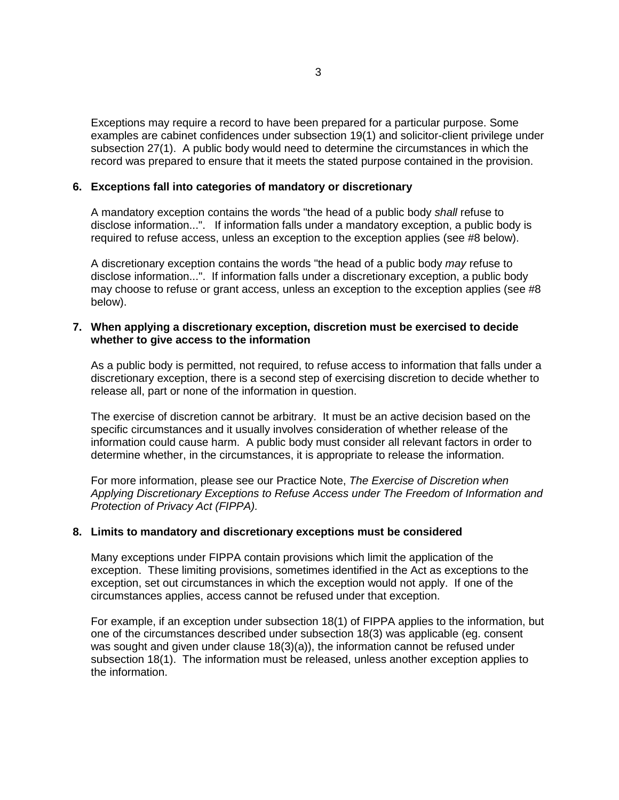Exceptions may require a record to have been prepared for a particular purpose. Some examples are cabinet confidences under subsection 19(1) and solicitor-client privilege under subsection 27(1). A public body would need to determine the circumstances in which the record was prepared to ensure that it meets the stated purpose contained in the provision.

# **6. Exceptions fall into categories of mandatory or discretionary**

A mandatory exception contains the words "the head of a public body *shall* refuse to disclose information...". If information falls under a mandatory exception, a public body is required to refuse access, unless an exception to the exception applies (see #8 below).

A discretionary exception contains the words "the head of a public body *may* refuse to disclose information...". If information falls under a discretionary exception, a public body may choose to refuse or grant access, unless an exception to the exception applies (see #8 below).

#### **7. When applying a discretionary exception, discretion must be exercised to decide whether to give access to the information**

As a public body is permitted, not required, to refuse access to information that falls under a discretionary exception, there is a second step of exercising discretion to decide whether to release all, part or none of the information in question.

The exercise of discretion cannot be arbitrary. It must be an active decision based on the specific circumstances and it usually involves consideration of whether release of the information could cause harm. A public body must consider all relevant factors in order to determine whether, in the circumstances, it is appropriate to release the information.

For more information, please see our Practice Note, *The Exercise of Discretion when Applying Discretionary Exceptions to Refuse Access under The Freedom of Information and Protection of Privacy Act (FIPPA).*

# **8. Limits to mandatory and discretionary exceptions must be considered**

Many exceptions under FIPPA contain provisions which limit the application of the exception. These limiting provisions, sometimes identified in the Act as exceptions to the exception, set out circumstances in which the exception would not apply. If one of the circumstances applies, access cannot be refused under that exception.

For example, if an exception under subsection 18(1) of FIPPA applies to the information, but one of the circumstances described under subsection 18(3) was applicable (eg. consent was sought and given under clause  $18(3)(a)$ , the information cannot be refused under subsection 18(1). The information must be released, unless another exception applies to the information.